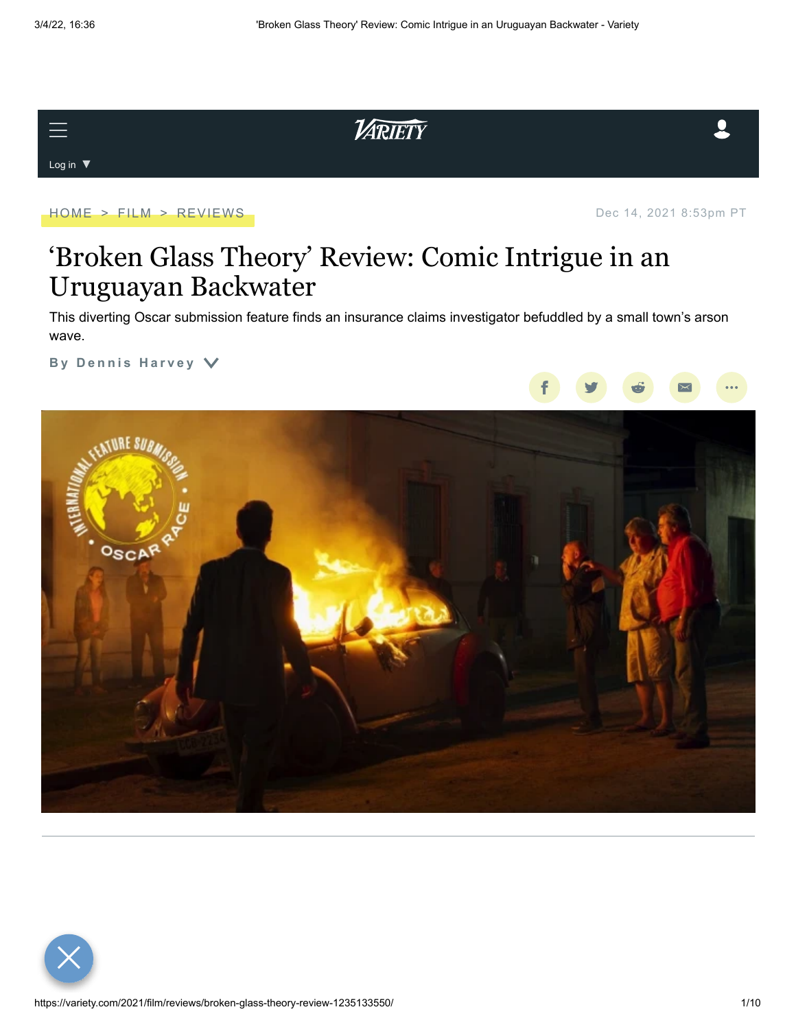Log in  $\blacktriangledown$ 



[HOME](https://variety.com/) > [FILM](https://variety.com/v/film/) > [REVIEWS](https://variety.com/c/reviews/) dec 14, 2021 8:53pm PT

# 'Broken Glass Theory' Review: Comic Intrigue in an Uruguayan Backwater

This diverting Oscar submission feature finds an insurance claims investigator befuddled by a small town's arson wave.

VARIETY

**By Dennis [H](https://variety.com/author/dennis-harvey/)arvey**  $\vee$ 



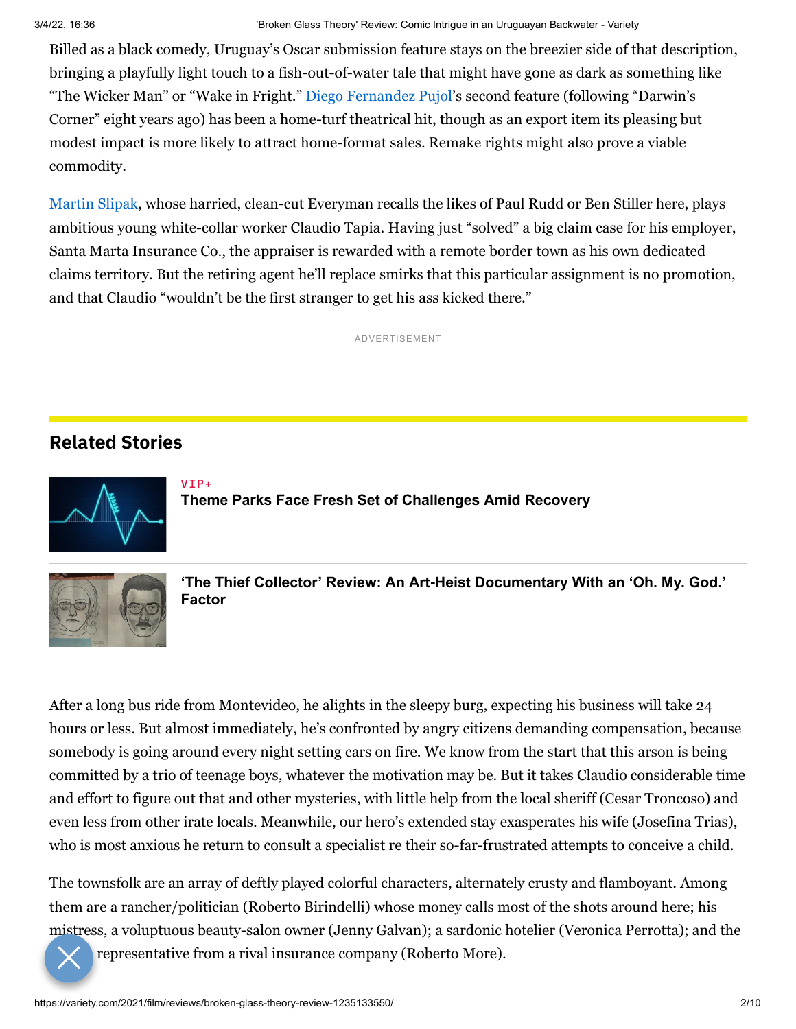Billed as a black comedy, Uruguay's Oscar submission feature stays on the breezier side of that description, bringing a playfully light touch to a fish-out-of-water tale that might have gone as dark as something like "The Wicker Man" or "Wake in Fright." [Diego Fernandez Pujol](https://variety.com/t/diego-fernandez-pujol/)'s second feature (following "Darwin's Corner" eight years ago) has been a home-turf theatrical hit, though as an export item its pleasing but modest impact is more likely to attract home-format sales. Remake rights might also prove a viable commodity.

[Martin Slipak](https://variety.com/t/martin-slipak/), whose harried, clean-cut Everyman recalls the likes of Paul Rudd or Ben Stiller here, plays ambitious young white-collar worker Claudio Tapia. Having just "solved" a big claim case for his employer, Santa Marta Insurance Co., the appraiser is rewarded with a remote border town as his own dedicated claims territory. But the retiring agent he'll replace smirks that this particular assignment is no promotion, and that Claudio "wouldn't be the first stranger to get his ass kicked there."

ADVERTISEMENT

## **Related Stories**

VIP+



**[Theme Parks Face Fresh Set of Challenges Amid Recovery](https://variety.com/vip/theme-parks-face-fresh-set-of-challenges-amid-recovery-1235189753/)**



**['The Thief Collector' Review: An Art-Heist Documentary With an 'Oh. My. God.'](https://variety.com/2022/film/reviews/the-thief-collector-review-1235221801/) Factor**

After a long bus ride from Montevideo, he alights in the sleepy burg, expecting his business will take 24 hours or less. But almost immediately, he's confronted by angry citizens demanding compensation, because somebody is going around every night setting cars on fire. We know from the start that this arson is being committed by a trio of teenage boys, whatever the motivation may be. But it takes Claudio considerable time and effort to figure out that and other mysteries, with little help from the local sheriff (Cesar Troncoso) and even less from other irate locals. Meanwhile, our hero's extended stay exasperates his wife (Josefina Trias), who is most anxious he return to consult a specialist re their so-far-frustrated attempts to conceive a child.

The townsfolk are an array of deftly played colorful characters, alternately crusty and flamboyant. Among them are a rancher/politician (Roberto Birindelli) whose money calls most of the shots around here; his mistress, a voluptuous beauty-salon owner (Jenny Galvan); a sardonic hotelier (Veronica Perrotta); and the

representative from a rival insurance company (Roberto More).